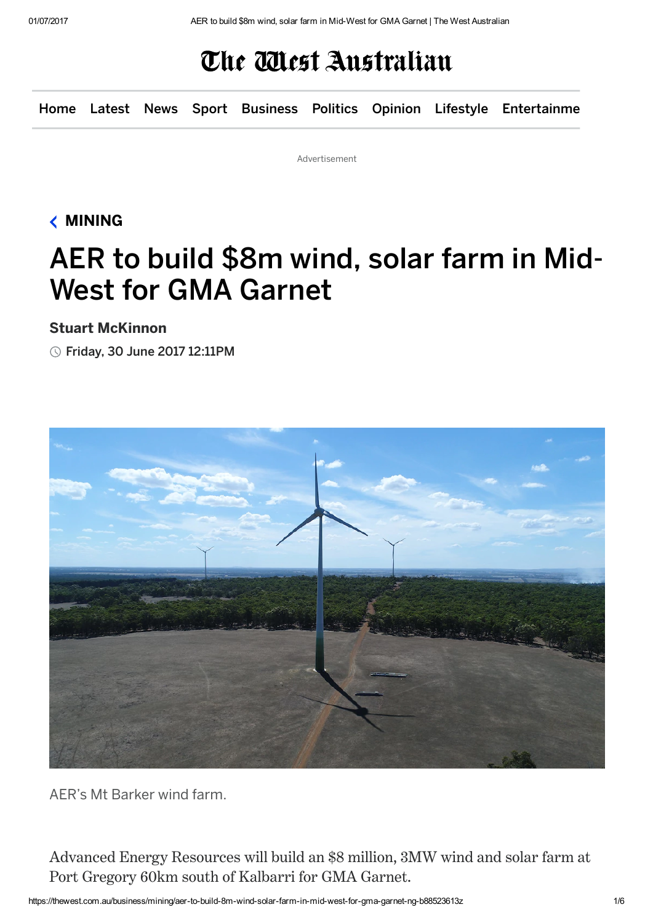## The Mest Australian

[Home](https://thewest.com.au/) [Latest](https://thewest.com.au/latest) [News](https://thewest.com.au/news) [Sport](https://thewest.com.au/sport) [Business](https://thewest.com.au/business) [Politics](https://thewest.com.au/politics) [Opinion](https://thewest.com.au/opinion) [Lifestyle](https://thewest.com.au/lifestyle) Entertainme

Advertisement

### [MINING](https://thewest.com.au/business/mining)

# AER to build \$8m wind, solar farm in Mid-West for GMA Garnet

#### Stuart McKinnon

Friday, 30 June 2017 12:11PM



AER's Mt Barker wind farm.

Advanced Energy Resources will build an \$8 million, 3MW wind and solar farm at Port Gregory 60km south of Kalbarri for GMA Garnet.